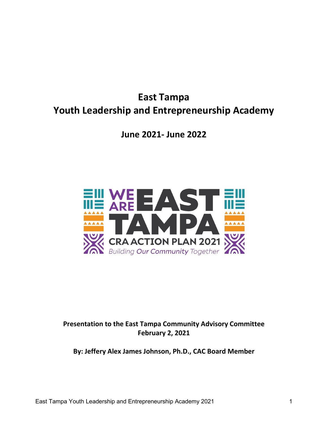# **East Tampa Youth Leadership and Entrepreneurship Academy**

**June 2021- June 2022**



## **Presentation to the East Tampa Community Advisory Committee February 2, 2021**

**By: Jeffery Alex James Johnson, Ph.D., CAC Board Member**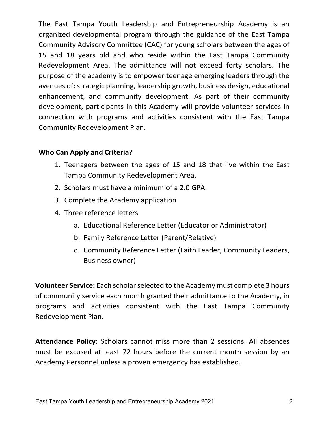The East Tampa Youth Leadership and Entrepreneurship Academy is an organized developmental program through the guidance of the East Tampa Community Advisory Committee (CAC) for young scholars between the ages of 15 and 18 years old and who reside within the East Tampa Community Redevelopment Area. The admittance will not exceed forty scholars. The purpose of the academy is to empower teenage emerging leaders through the avenues of; strategic planning, leadership growth, business design, educational enhancement, and community development. As part of their community development, participants in this Academy will provide volunteer services in connection with programs and activities consistent with the East Tampa Community Redevelopment Plan.

### **Who Can Apply and Criteria?**

- 1. Teenagers between the ages of 15 and 18 that live within the East Tampa Community Redevelopment Area.
- 2. Scholars must have a minimum of a 2.0 GPA.
- 3. Complete the Academy application
- 4. Three reference letters
	- a. Educational Reference Letter (Educator or Administrator)
	- b. Family Reference Letter (Parent/Relative)
	- c. Community Reference Letter (Faith Leader, Community Leaders, Business owner)

**Volunteer Service:** Each scholar selected to the Academy must complete 3 hours of community service each month granted their admittance to the Academy, in programs and activities consistent with the East Tampa Community Redevelopment Plan.

**Attendance Policy:** Scholars cannot miss more than 2 sessions. All absences must be excused at least 72 hours before the current month session by an Academy Personnel unless a proven emergency has established.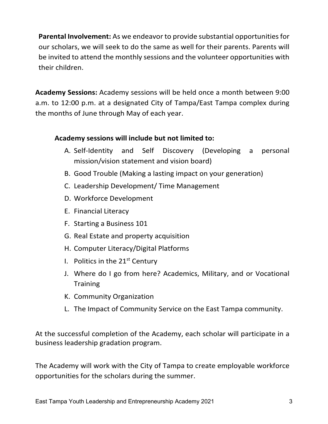**Parental Involvement:** As we endeavor to provide substantial opportunities for our scholars, we will seek to do the same as well for their parents. Parents will be invited to attend the monthly sessions and the volunteer opportunities with their children.

**Academy Sessions:** Academy sessions will be held once a month between 9:00 a.m. to 12:00 p.m. at a designated City of Tampa/East Tampa complex during the months of June through May of each year.

### **Academy sessions will include but not limited to:**

- A. Self-Identity and Self Discovery (Developing a personal mission/vision statement and vision board)
- B. Good Trouble (Making a lasting impact on your generation)
- C. Leadership Development/ Time Management
- D. Workforce Development
- E. Financial Literacy
- F. Starting a Business 101
- G. Real Estate and property acquisition
- H. Computer Literacy/Digital Platforms
- I. Politics in the  $21<sup>st</sup>$  Century
- J. Where do I go from here? Academics, Military, and or Vocational **Training**
- K. Community Organization
- L. The Impact of Community Service on the East Tampa community.

At the successful completion of the Academy, each scholar will participate in a business leadership gradation program.

The Academy will work with the City of Tampa to create employable workforce opportunities for the scholars during the summer.